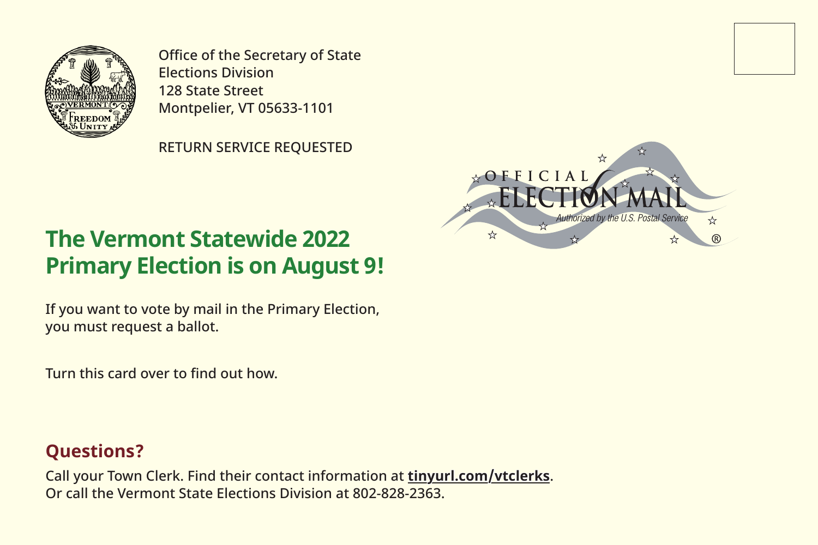

Office of the Secretary of State Elections Division 128 State Street Montpelier, VT 05633-1101

RETURN SERVICE REQUESTED



## **The Vermont Statewide 2022 Primary Election is on August 9!**

If you want to vote by mail in the Primary Election, you must request a ballot.

Turn this card over to find out how.

#### **Questions?**

Call your Town Clerk. Find their contact information at **tinyurl.com/vtclerks**. Or call the Vermont State Elections Division at 802-828-2363.